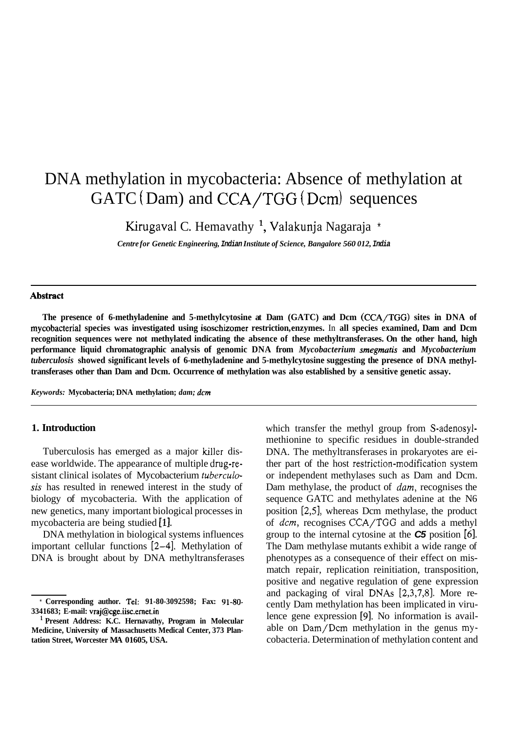# DNA methylation in mycobacteria: Absence of methylation at  $GATC(Dam)$  and  $CCA/TGG(Dcm)$  sequences

Kirugaval C. Hemavathy<sup>1</sup>, Valakunja Nagaraja \*

*Centre for Genetic Engineering, Indian Institute of Science, Bangalore 560 012, India* 

#### **Abstract**

**The presence of 6-methyladenine and 5-methylcytosine at Dam (GATC) and Dcm (CCA/TGG) sites in DNA of mycobacterial species was investigated using isoschizomer restriction, enzymes.** In **all species examined, Dam and Dcm recognition sequences were not methylated indicating the absence of these methyltransferases. On the other hand, high performance liquid chromatographic analysis of genomic DNA from** *Mycobacterium smegmatis* **and** *Mycobacterium tuberculosis* **showed significant levels of 6-methyladenine and 5-methylcytosine suggesting the presence of DNA methyltransferases other than Dam and Dcm. Occurrence of methylation was also established by a sensitive genetic assay.** 

*Keywords:* **Mycobacteria; DNA methylation;** *dam; dcm* 

## **1. Introduction**

Tuberculosis has emerged as a major killer disease worldwide. The appearance of multiple drug-resistant clinical isolates of Mycobacterium *fuberculusis* has resulted in renewed interest in the study of biology of mycobacteria. With the application of new genetics, many important biological processes in mycobacteria are being studied [1].

DNA methylation in biological systems influences important cellular functions **[2-41.** Methylation of DNA is brought about by DNA methyltransferases which transfer the methyl group from S-adenosylmethionine to specific residues in double-stranded DNA. The methyltransferases in prokaryotes are either part of the host **restriction-modification** system or independent methylases such as Dam and Dcm. Dam methylase, the product of *dam,* recognises the sequence GATC and methylates adenine at the N6 position [2,51, whereas Dcm methylase, the product of *dcm,* recognises CCA/TGG and adds a methyl group to the internal cytosine at the *C5* position *[6].*  The Dam methylase mutants exhibit a wide range of phenotypes as a consequence of their effect on mismatch repair, replication reinitiation, transposition, positive and negative regulation of gene expression and packaging of viral DNAs **[2,3,7,8].** More recently Dam methylation has been implicated in virulence gene expression **[9].** No information is available on Dam/Dcm methylation in the genus mycobacteria. Determination of methylation content and

<sup>\*</sup> **Corresponding author. Tel: 91-80-3092598; Fax: 91-80- 3341683; E-mail: vraj@cge.iisc.ernet.in** 

**Present Address: K.C. Hernavathy, Program in Molecular Medicine, University of Massachusetts Medical Center, 373 Plantation Street, Worcester MA 01605, USA.**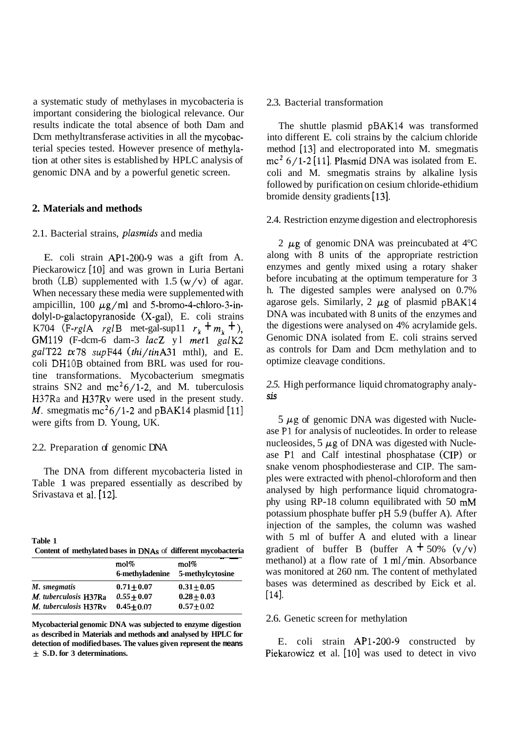a systematic study of methylases in mycobacteria is important considering the biological relevance. Our results indicate the total absence of both Dam and Dcm methyltransferase activities in all the mycobacterial species tested. However presence of methylation at other sites is established by HPLC analysis of genomic DNA and by a powerful genetic screen.

## **2. Materials and methods**

### 2.1. Bacterial strains, plasmids and media

E. coli strain AP1-200-9 was a gift from A. Pieckarowicz [10] and was grown in Luria Bertani broth (LB) supplemented with  $1.5 \frac{w}{v}$  of agar. When necessary these media were supplemented with ampicillin, 100  $\mu$ g/ml and 5-bromo-4-chloro-3-in**dolyl-D-galactopyranoside** (X-gal), E. coli strains K704 (F-rglA rglB met-gal-sup11  $r_k + m_k + 1$ ), GM119 (F-dcm-6 dam-3 lacZ y1 met1 galK2 galT22  $tx78$  supF44 (thi/tinA31 mthl), and E. coli DHlOB obtained from BRL was used for routine transformations. Mycobacterium smegmatis strains SN2 and  $mc^2/1-2$ , and M. tuberculosis H37Ra and H37Rv were used in the present study. *M.* smegmatis mc<sup>2</sup>6/1-2 and pBAK14 plasmid [11] were gifts from D. Young, UK.

## 2.2. Preparation of genomic DNA

The DNA from different mycobacteria listed in Table 1 was prepared essentially as described by Srivastava et al. [12].

| Table 1 |  |                                                               |
|---------|--|---------------------------------------------------------------|
|         |  | Content of methylated bases in DNAs of different mycobacteria |

|                       | mol%<br>6-methyladenine | mol%<br>5-methylcytosine |
|-----------------------|-------------------------|--------------------------|
| M. smegmatis          | $0.71 + 0.07$           | $0.31 \pm 0.05$          |
| M. tuberculosis H37Ra | $0.55 + 0.07$           | $0.28 + 0.03$            |
| M. tuberculosis H37Ry | $0.45 + 0.07$           | $0.57 + 0.02$            |

**Mycobacterial genomic DNA was subjected to enzyme digestion as described in Materials and methods and analysed by HPLC for detection of modified bases. The values given represent the means**  & **S.D. for 3 determinations.** 

## 2.3. Bacterial transformation

The shuttle plasmid pBAK14 was transformed into different E. coli strains by the calcium chloride method [13] and electroporated into M. smegmatis  $mc^2$  6/1-2 [11]. Plasmid DNA was isolated from E. coli and M. smegmatis strains by alkaline lysis followed by purification on cesium chloride-ethidium bromide density gradients [13].

# 2.4. Restriction enzyme digestion and electrophoresis

2  $\mu$ g of genomic DNA was preincubated at 4 $\rm ^{o}C$ along with 8 units of the appropriate restriction enzymes and gently mixed using a rotary shaker before incubating at the optimum temperature for 3 h. The digested samples were analysed on 0.7% agarose gels. Similarly,  $2 \mu$ g of plasmid pBAK14 DNA was incubated with 8 units of the enzymes and the digestions were analysed on 4% acrylamide gels. Genomic DNA isolated from E. coli strains served as controls for Dam and Dcm methylation and to optimize cleavage conditions.

*2.5.* High performance liquid chromatography analy*sis* 

 $5 \mu$ g of genomic DNA was digested with Nuclease P1 for analysis of nucleotides. In order to release nucleosides,  $5 \mu$ g of DNA was digested with Nuclease P1 and Calf intestinal phosphatase (CIP) or snake venom phosphodiesterase and CIP. The samples were extracted with phenol-chloroform and then analysed by high performance liquid chromatography using RP-18 column equilibrated with 50 mM potassium phosphate buffer pH 5.9 (buffer A). After injection of the samples, the column was washed with 5 ml of buffer A and eluted with a linear gradient of buffer B (buffer  $A + 50\%$  (v/v) methanol) at a flow rate of 1 ml/min. Absorbance was monitored at 260 nm. The content of methylated bases was determined as described by Eick et al. r141.

### 2.6. Genetic screen for methylation

E. coli strain AP1-200-9 constructed by Piekarowicz et al. [10] was used to detect in vivo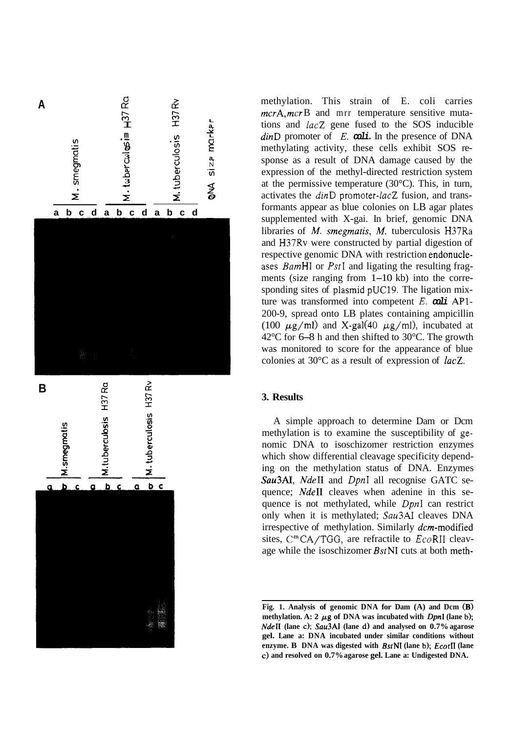

methylation. This strain of E. coli carries mcrA, mcrB and mrr temperature sensitive mutations and  $lacZ$  gene fused to the SOS inducible dinD promoter of *E.*  $\omega$ Li. In the presence of DNA methylating activity, these cells exhibit SOS response as a result of DNA damage caused by the expression of the methyl-directed restriction system at the permissive temperature (30°C). This, in turn, activates the dinD promoter-lacZ fusion, and transformants appear as blue colonies on LB agar plates supplemented with X-gai. In brief, genomic DNA libraries of *M.* smegmatis, *M.* tuberculosis H37Ra and H37Rv were constructed by partial digestion of respective genomic DNA with restriction endonucleases *BamHI* or *PstI* and ligating the resulting fragments (size ranging from 1-10 kb) into the corresponding sites of plasmid pUC19. The ligation mixture was transformed into competent *E. coli* API-200-9, spread onto LB plates containing ampicillin (100  $\mu$ g/ml) and X-gal(40  $\mu$ g/ml), incubated at 42°C for 6-8 h and then shifted to 30°C. The growth was monitored to score for the appearance of blue colonies at 30°C as a result of expression of *lucZ.* 

# **3. Results**

A simple approach to determine Dam or Dcm methylation is to examine the susceptibility of genomic DNA to isoschizomer restriction enzymes which show differential cleavage specificity depending on the methylation status of DNA. Enzymes Sau3AI, NdeII and DpnI all recognise GATC sequence; NdeII cleaves when adenine in this sequence is not methylated, while DpnI can restrict only when it is methylated; Sau3AI cleaves DNA irrespective of methylation. Similarly *dcm*-modified sites,  $C^m$ CA/TGG, are refractile to  $EcoRII$  cleavage while the isoschizomer BstNI cuts at both meth-

**Fig. 1. Analysis of genomic DNA for Dam (A) and Dcm (B)**  methylation. A:  $2 \mu g$  of DNA was incubated with *DpnI* (lane b); *NdeII* **(lane c);** *Sau3AI* **(lane d) and analysed on 0.7% agarose gel. Lane a: DNA incubated under similar conditions without enzyme. B DNA was digested with BsrNI (lane** b); **EcorII (lane**  *c)* **and resolved on 0.7% agarose gel. Lane a: Undigested DNA.**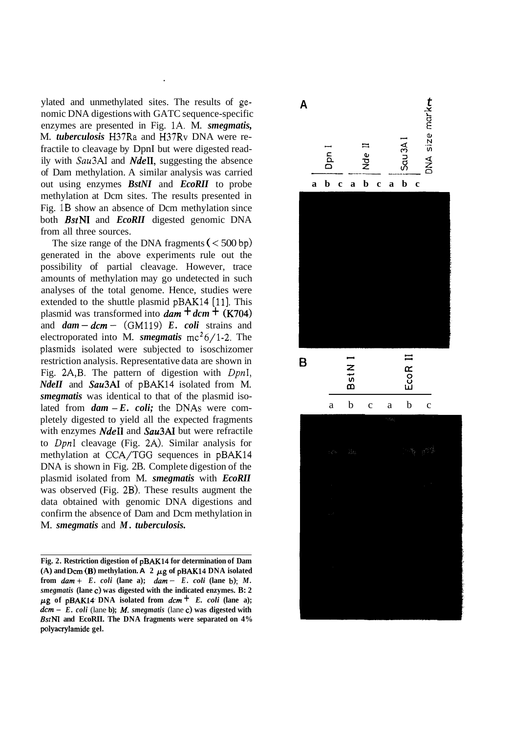ylated and unmethylated sites. The results of genomic DNA digestions with GATC sequence-specific enzymes are presented in Fig. 1A. M. *smegmatis,*  M. *tuberculosis* H37Ra and H37Rv DNA were refractile to cleavage by DpnI but were digested readily with Sau3AI and *NdeII,* suggesting the absence of Dam methylation. A similar analysis was carried out using enzymes *BstNI* and *EcoRII* to probe methylation at Dcm sites. The results presented in Fig. 1B show an absence of Dcm methylation since both **BstNI** and *EcoRII* digested genomic DNA from all three sources.

*.* 

The size range of the DNA fragments  $( $500 \text{ bp}$ )$ generated in the above experiments rule out the possibility of partial cleavage. However, trace amounts of methylation may go undetected in such analyses of the total genome. Hence, studies were extended to the shuttle plasmid pBAK14 **[ll].** This plasmid was transformed into  $\text{dam} + \text{dom} + (\text{K704})$ and  $dam - dcm - (GM119) E.$  *coli* strains and electroporated into M. *smegmatis*  $mc^2/1-2$ . The plasmids isolated were subjected to isoschizomer restriction analysis. Representative data are shown in Fig. 2A,B. The pattern of digestion with *DpnI, NdeII* and *Sau3AI* of pBAK14 isolated from M. *smegmatis* was identical to that of the plasmid isolated from  $dam - E$ . *coli*; the DNAs were completely digested to yield all the expected fragments with enzymes *NdeII* and *Sau3AI* but were refractile to *DpnI* cleavage (Fig. **2A).** Similar analysis for methylation at CCA/TGG sequences in pBAK14 DNA is shown in Fig. 2B. Complete digestion of the plasmid isolated from M. *smegmatis* with *EcoRII*  was observed (Fig. 2B). These results augment the data obtained with genomic DNA digestions and confirm the absence of Dam and Dcm methylation in M. *smegmatis* and *M. tuberculosis.* 

**Fig. 2. Restriction digestion of pBAK14 for determination of Dam**   $(A)$  and Dcm  $(B)$  methylation. A 2  $\mu$ g of pBAK14 DNA isolated from  $dam + E$ . coli (lane a);  $dam - E$ . coli (lane b); *M*. *smegmatis* **(lane c) was digested with the indicated enzymes. B: 2**   $\mu$ g of pBAK14 DNA isolated from  $d$ *cm*  $+$  *E. coli* (lane a); *dcm* - *E. coli* (lane **b);** *M. smegmatis* (lane **c) was digested with**  *BstNI* **and EcoRII. The DNA fragments were separated on 4% polyacrylamide gel.** 

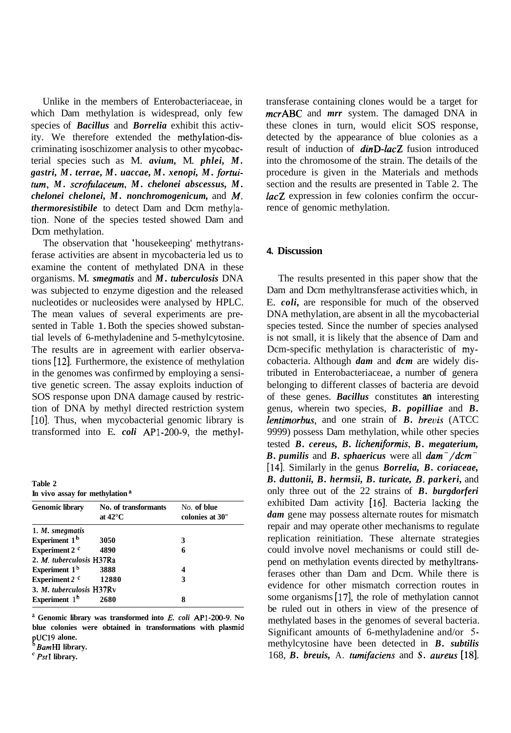Unlike in the members of Enterobacteriaceae, in which Dam methylation is widespread, only few species of *Bacillus* and *Borrelia* exhibit this activity. We therefore extended the methylation-discriminating isoschizomer analysis to other mycobacterial species such as M. *avium,* M. *phlei, M. gastri, M. terrae, M. uaccae, M. xenopi, M. fortuitum, M. scrofulaceum, M. chelonei abscessus, M. chelonei chelonei, M. nonchromogenicum,* and *M. thermoresistibile* to detect Dam and Dcm methylation. None of the species tested showed Dam and Dcm methylation.

The observation that 'housekeeping' methytransferase activities are absent in mycobacteria led us to examine the content of methylated DNA in these organisms. M. *smegmatis* and *M. tuberculosis* DNA was subjected to enzyme digestion and the released nucleotides or nucleosides were analysed by HPLC. The mean values of several experiments are presented in Table 1. Both the species showed substantial levels of 6-methyladenine and 5-methylcytosine. The results are in agreement with earlier observations **[12].** Furthermore, the existence of methylation in the genomes was confirmed by employing a sensitive genetic screen. The assay exploits induction of SOS response upon DNA damage caused by restriction of DNA by methyl directed restriction system [10]. Thus, when mycobacterial genomic library is transformed into E. *coli* AP1-200-9, the methyl-

**Table 2 In vivo assay for methylation <sup>a</sup>**

| <b>Genomic library</b>    | No. of transformants<br>at $42^{\circ}$ C | No. of blue<br>colonies at 30" |
|---------------------------|-------------------------------------------|--------------------------------|
| 1. M. smegmatis           |                                           |                                |
| Experiment 1 <sup>b</sup> | 3050                                      | 3                              |
| Experiment 2 <sup>c</sup> | 4890                                      | 6                              |
| 2. M. tuberculosis H37Ra  |                                           |                                |
| Experiment $1b$           | 3888                                      |                                |
| Experiment 2 c            | 12880                                     | 3                              |
| 3. M. tuberculosis H37Rv  |                                           |                                |
| Experiment $1b$           | 2680                                      | 8                              |

<sup>a</sup> Genomic library was transformed into *E. coli* **AP1-200-9.** No **blue colonies were obtained in transformations with plasmid pUC19 alone.** 

transferase containing clones would be a target for *mcrABC* and *mrr* system. The damaged DNA in these clones in turn, would elicit SOS response, detected by the appearance of blue colonies as a result of induction of *dinD-lacZ* fusion introduced into the chromosome of the strain. The details of the procedure is given in the Materials and methods section and the results are presented in Table 2. The *lacZ* expression in few colonies confirm the occurrence of genomic methylation.

## **4. Discussion**

The results presented in this paper show that the Dam and Dcm methyltransferase activities which, in E. *coli,* are responsible for much of the observed DNA methylation, are absent in all the mycobacterial species tested. Since the number of species analysed is not small, it is likely that the absence of Dam and Dcm-specific methylation is characteristic of mycobacteria. Although *dam* and *dcm* are widely distributed in Enterobacteriaceae, a number of genera belonging to different classes of bacteria are devoid of these genes. *Bacillus* constitutes **an** interesting genus, wherein two species, *B. popilliae* and *B. lentimorhus,* and one strain of *B. hrevis* (ATCC 9999) possess Dam methylation, while other species tested *B. cereus, B. licheniformis, B. megaterium, B. pumilis* and *B. sphaericus* were all *dam-/dcm--*  **[14].** Similarly in the genus *Borrelia, B. coriaceae, B. duttonii, B. hermsii, B. turicate, B. parkeri,* and only three out of the 22 strains of *B. burgdorferi*  exhibited Dam activity **[16].** Bacteria lacking the dam gene may possess alternate routes for mismatch repair and may operate other mechanisms to regulate replication reinitiation. These alternate strategies could involve novel mechanisms or could still depend on methylation events directed by methyltransferases other than Dam and Dcm. While there is evidence for other mismatch correction routes in some organisms [17], the role of methylation cannot be ruled out in others in view of the presence of methylated bases in the genomes of several bacteria. Significant amounts of 6-methyladenine and/or *5*  methylcytosine have been detected in *B. subtilis*  168, *B. breuis,* A. *tumifaciens* and *S. aureus* **[18].** 

*BamHI* **library.** 

*PstI* **library.**